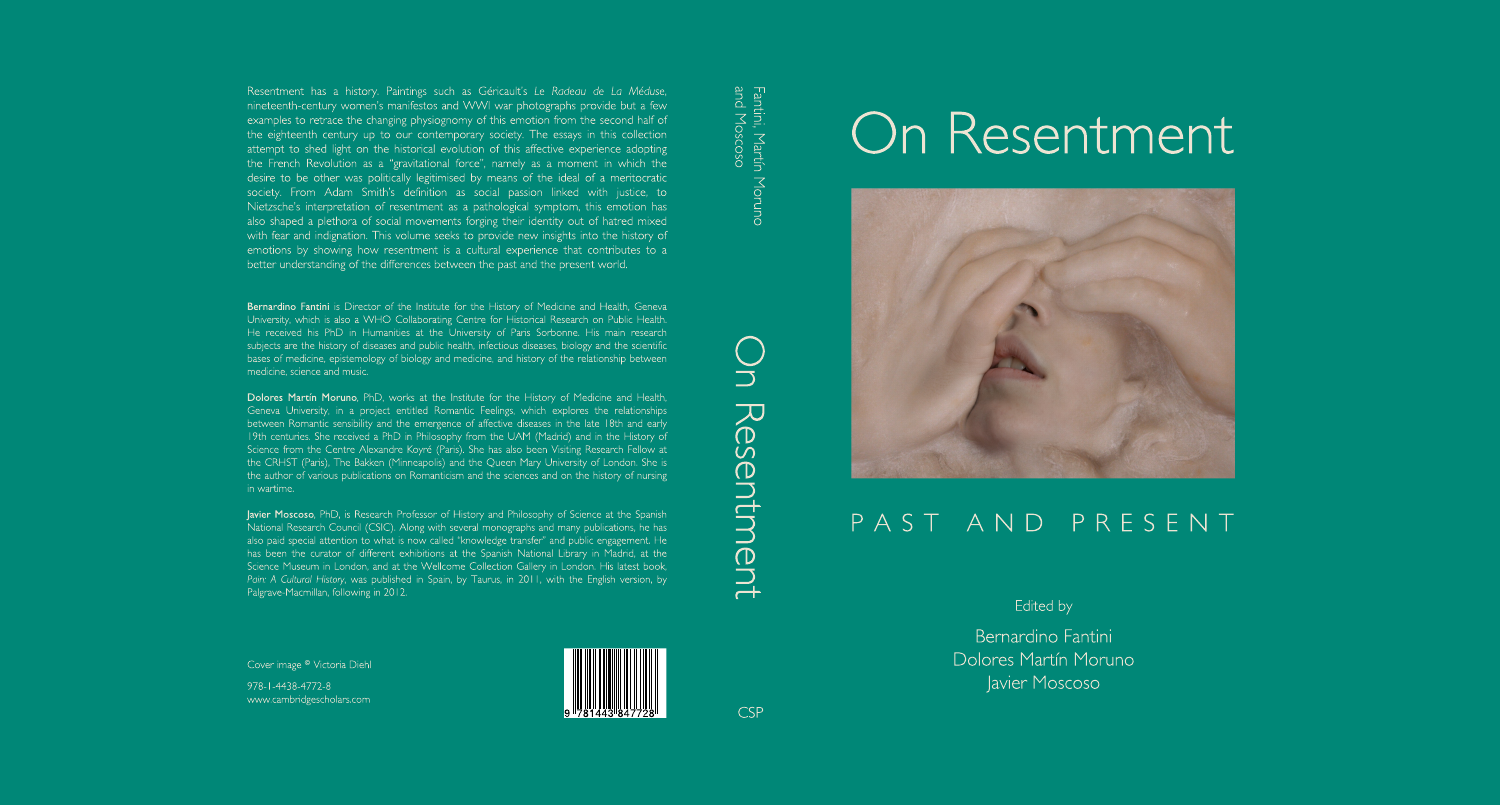Resentment has a history. Paintings such as Géricault's Le Radeau de La Méduse, nineteenth-century women's manifestos and WWI war photographs provide but a few examples to retrace the changing physiognomy of this emotion from the second half of the eighteenth century up to our contemporary society. The essays in this collection attempt to shed light on the historical evolution of this affective experience adopting the French Revolution as a "gravitational force", namely as a moment in which the desire to be other was politically legitimised by means of the ideal of a meritocratic society. From Adam Smith's definition as social passion linked with justice, to Nietzsche's interpretation of resentment as a pathological symptom, this emotion has also shaped a plethora of social movements forging their identity out of hatred mixed with fear and indignation. This volume seeks to provide new insights into the history of emotions by showing how resentment is a cultural experience that contributes to a better understanding of the differences between the past and the present world.

Bernardino Fantini is Director of the Institute for the History of Medicine and Health, Geneva University, which is also a WHO Collaborating Centre for Historical Research on Public Health. He received his PhD in Humanities at the University of Paris Sorbonne. His main research subjects are the history of diseases and public health, infectious diseases, biology and the scientific bases of medicine, epistemology of biology and medicine, and history of the relationship between medicine, science and music.

Dolores Martín Moruno, PhD, works at the Institute for the History of Medicine and Health, Geneva University, in a project entitled Romantic Feelings, which explores the relationships between Romantic sensibility and the emergence of affective diseases in the late 18th and early 19th centuries. She received a PhD in Philosophy from the UAM (Madrid) and in the History of Science from the Centre Alexandre Koyré (Paris). She has also been Visiting Research Fellow at the CRHST (Paris), The Bakken (Minneapolis) and the Queen Mary University of London. She is the author of various publications on Romanticism and the sciences and on the history of nursing in wartime.

Javier Moscoso, PhD, is Research Professor of History and Philosophy of Science at the Spanish National Research Council (CSIC). Along with several monographs and many publications, he has also paid special attention to what is now called "knowledge transfer" and public engagement. He has been the curator of different exhibitions at the Spanish National Library in Madrid, at the Science Museum in London, and at the Wellcome Collection Gallery in London. His latest book, Pain: A Cultural History, was published in Spain, by Taurus, in 2011, with the English version, by Palgrave-Macmillan, following in 2012.

Cover image <sup>©</sup> Victoria Diehl

978-1-4438-4772-8 www.cambridgescholars.com



Fantini, Martín Moruno<br>and Moscoso



# On Resentment



### PAST AND PRESENT

Edited by

Bernardino Fantini Dolores Martín Moruno Javier Moscoso

**CSP**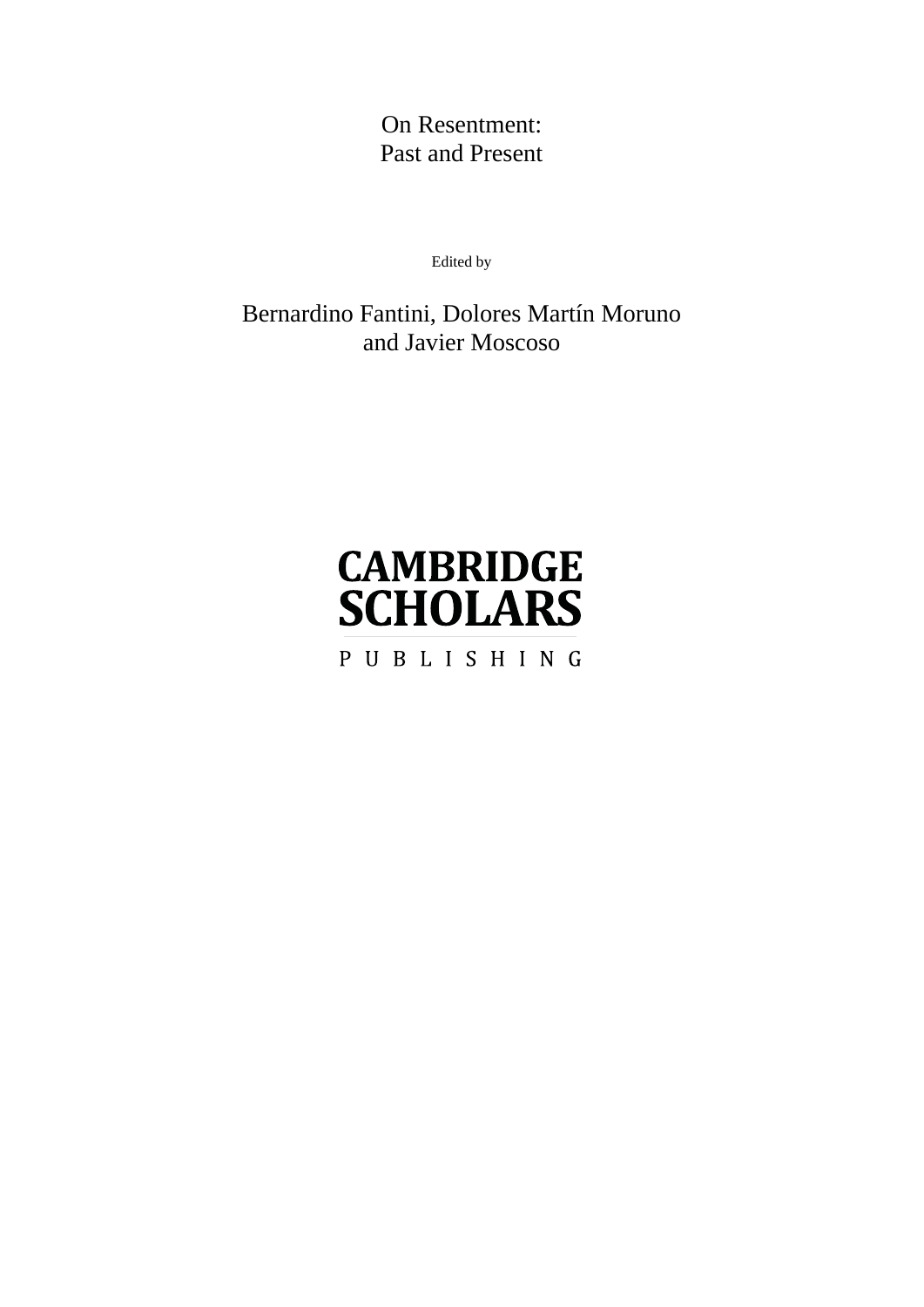On Resentment: Past and Present

Edited by

Bernardino Fantini, Dolores Martín Moruno and Javier Moscoso

## **CAMBRIDGE SCHOLARS**

PUBLISHING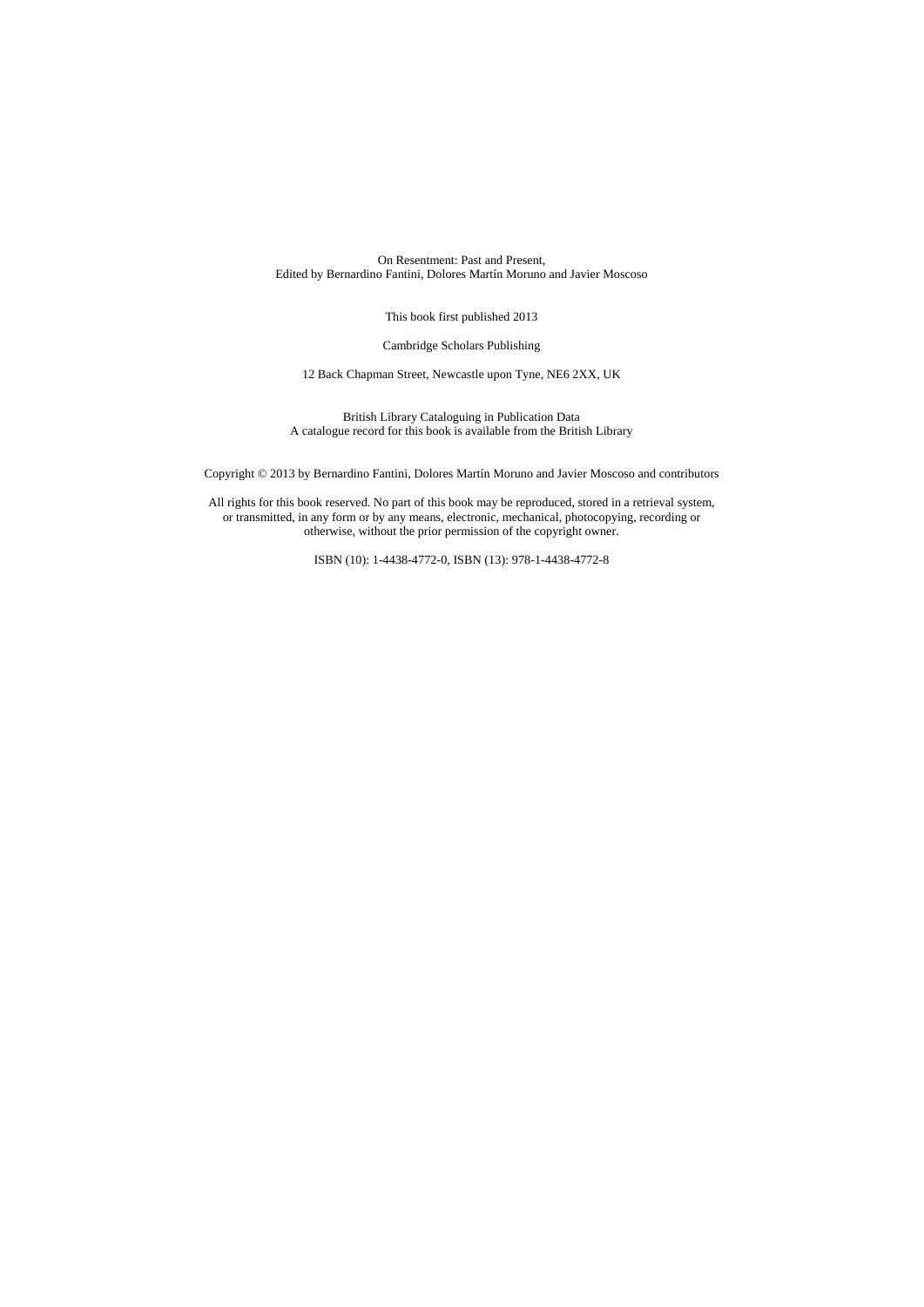On Resentment: Past and Present, Edited by Bernardino Fantini, Dolores Martín Moruno and Javier Moscoso

This book first published 2013

Cambridge Scholars Publishing

12 Back Chapman Street, Newcastle upon Tyne, NE6 2XX, UK

British Library Cataloguing in Publication Data A catalogue record for this book is available from the British Library

Copyright © 2013 by Bernardino Fantini, Dolores Martín Moruno and Javier Moscoso and contributors

All rights for this book reserved. No part of this book may be reproduced, stored in a retrieval system, or transmitted, in any form or by any means, electronic, mechanical, photocopying, recording or otherwise, without the prior permission of the copyright owner.

ISBN (10): 1-4438-4772-0, ISBN (13): 978-1-4438-4772-8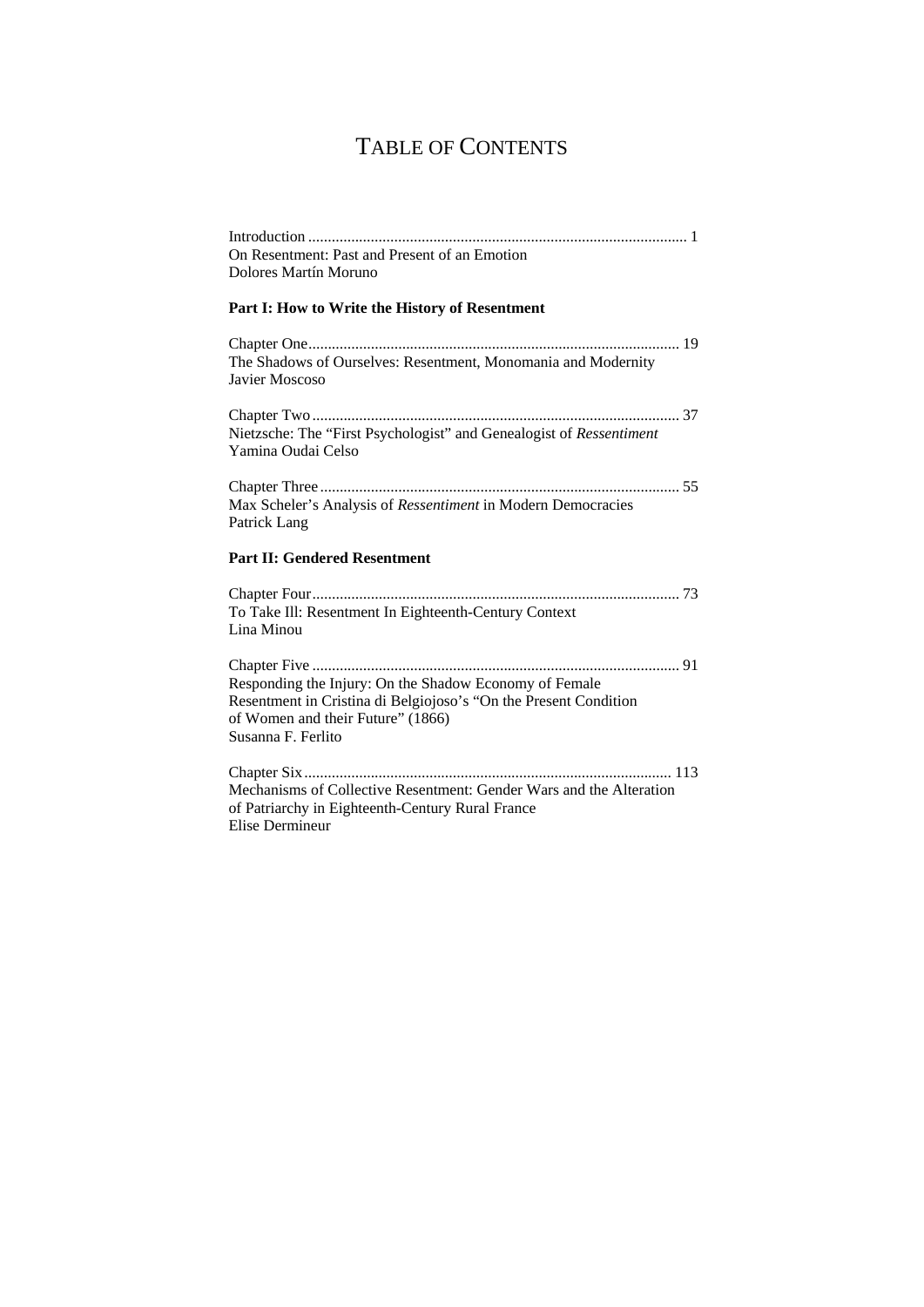### TABLE OF CONTENTS

| On Resentment: Past and Present of an Emotion                                                                                                                                         |
|---------------------------------------------------------------------------------------------------------------------------------------------------------------------------------------|
| Dolores Martín Moruno                                                                                                                                                                 |
| Part I: How to Write the History of Resentment                                                                                                                                        |
| The Shadows of Ourselves: Resentment, Monomania and Modernity<br>Javier Moscoso                                                                                                       |
| Nietzsche: The "First Psychologist" and Genealogist of Ressentiment<br>Yamina Oudai Celso                                                                                             |
| Max Scheler's Analysis of Ressentiment in Modern Democracies<br>Patrick Lang                                                                                                          |
| <b>Part II: Gendered Resentment</b>                                                                                                                                                   |
| To Take Ill: Resentment In Eighteenth-Century Context<br>Lina Minou                                                                                                                   |
| Responding the Injury: On the Shadow Economy of Female<br>Resentment in Cristina di Belgiojoso's "On the Present Condition<br>of Women and their Future" (1866)<br>Susanna F. Ferlito |
| Mechanisms of Collective Resentment: Gender Wars and the Alteration<br>of Patriarchy in Eighteenth-Century Rural France<br><b>Elise Dermineur</b>                                     |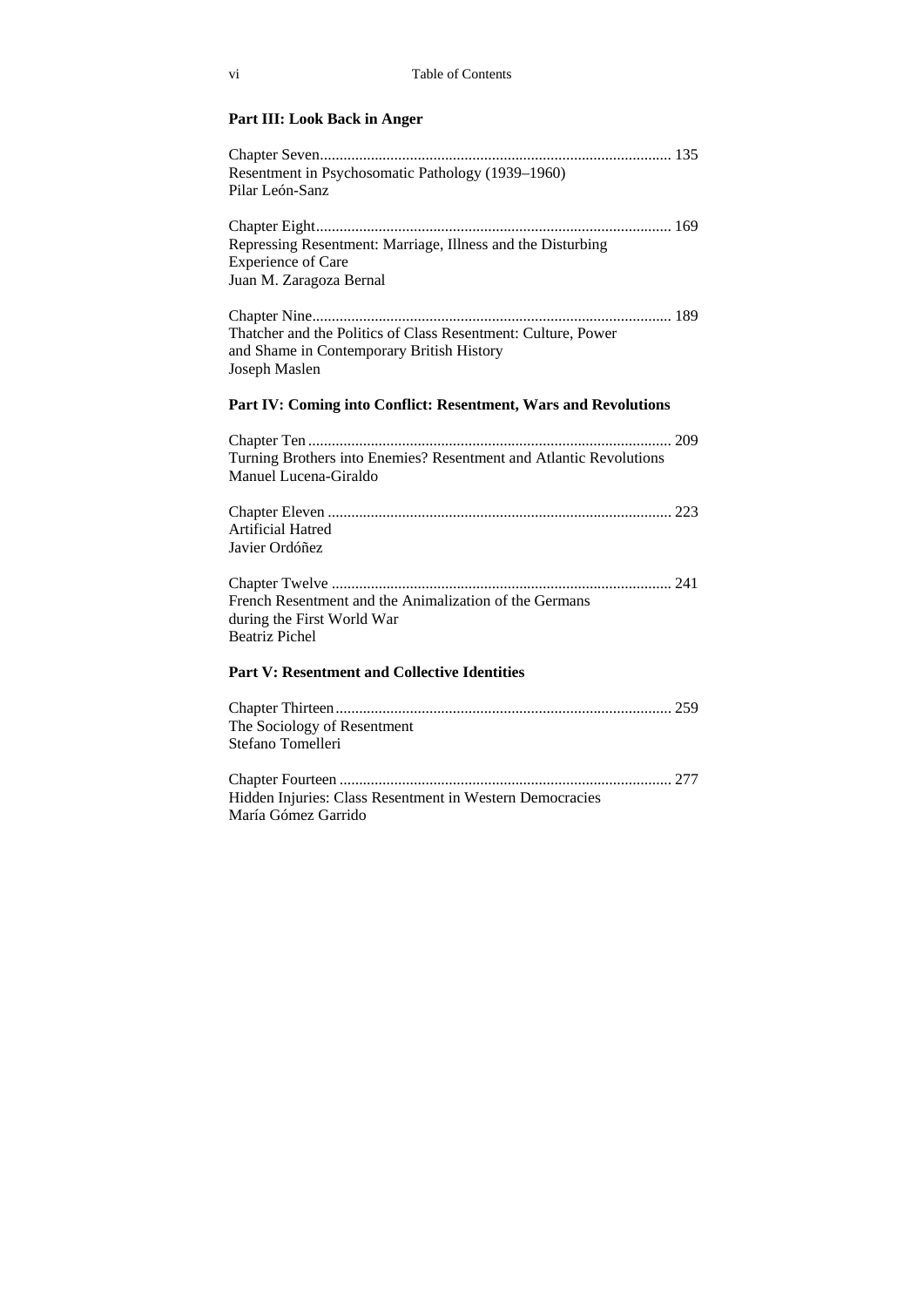#### **Part III: Look Back in Anger**

| Resentment in Psychosomatic Pathology (1939–1960)<br>Pilar León-Sanz                                                        |
|-----------------------------------------------------------------------------------------------------------------------------|
| Repressing Resentment: Marriage, Illness and the Disturbing<br><b>Experience of Care</b><br>Juan M. Zaragoza Bernal         |
| Thatcher and the Politics of Class Resentment: Culture, Power<br>and Shame in Contemporary British History<br>Joseph Maslen |
| Part IV: Coming into Conflict: Resentment, Wars and Revolutions                                                             |
| Turning Brothers into Enemies? Resentment and Atlantic Revolutions<br>Manuel Lucena-Giraldo                                 |
| Artificial Hatred<br>Javier Ordóñez                                                                                         |
| French Resentment and the Animalization of the Germans<br>during the First World War<br><b>Beatriz Pichel</b>               |
| <b>Part V: Resentment and Collective Identities</b>                                                                         |
| The Sociology of Resentment<br>Stefano Tomelleri                                                                            |
| Hidden Injuries: Class Resentment in Western Democracies<br>María Gómez Garrido                                             |